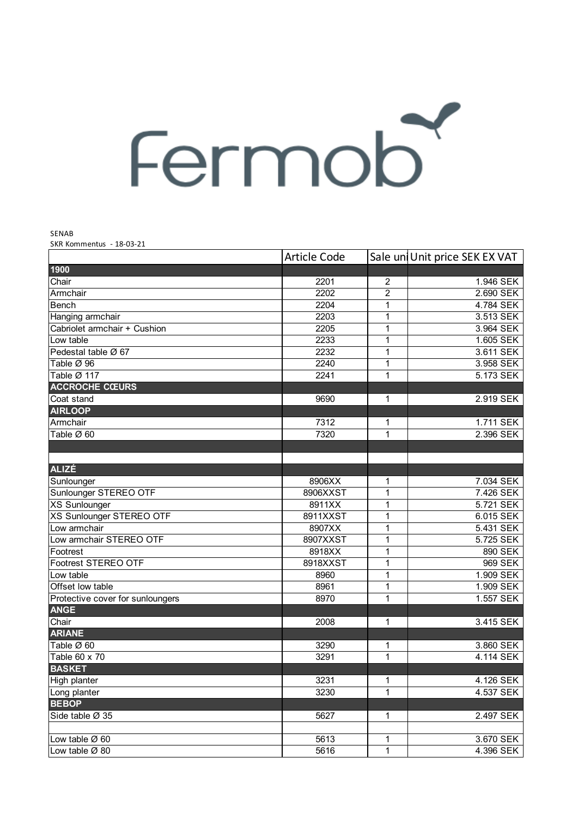## Fermob

SENAB

SKR Kommentus - 18-03-21

|                                  | <b>Article Code</b> |                | Sale un Unit price SEK EX VAT |
|----------------------------------|---------------------|----------------|-------------------------------|
| 1900                             |                     |                |                               |
| Chair                            | 2201                | 2              | 1.946 SEK                     |
| Armchair                         | 2202                | $\overline{2}$ | 2.690 SEK                     |
| <b>Bench</b>                     | 2204                | 1              | 4.784 SEK                     |
| Hanging armchair                 | 2203                | 1              | 3.513 SEK                     |
| Cabriolet armchair + Cushion     | 2205                | 1              | 3.964 SEK                     |
| Low table                        | 2233                | 1              | 1.605 SEK                     |
| Pedestal table Ø 67              | 2232                | 1              | 3.611 SEK                     |
| Table Ø 96                       | 2240                | 1              | 3.958 SEK                     |
| Table Ø 117                      | 2241                | 1              | 5.173 SEK                     |
| <b>ACCROCHE CŒURS</b>            |                     |                |                               |
| Coat stand                       | 9690                | 1              | 2.919 SEK                     |
| <b>AIRLOOP</b>                   |                     |                |                               |
| Armchair                         | 7312                | 1              | 1.711 SEK                     |
| Table Ø 60                       | 7320                | 1              | 2.396 SEK                     |
|                                  |                     |                |                               |
|                                  |                     |                |                               |
| <b>ALIZÉ</b>                     |                     |                |                               |
| Sunlounger                       | 8906XX              | 1              | 7.034 SEK                     |
| Sunlounger STEREO OTF            | 8906XXST            | 1              | 7.426 SEK                     |
| <b>XS Sunlounger</b>             | 8911XX              | 1              | 5.721 SEK                     |
| XS Sunlounger STEREO OTF         | 8911XXST            | 1              | 6.015 SEK                     |
| Low armchair                     | 8907XX              | 1              | 5.431 SEK                     |
| Low armchair STEREO OTF          | 8907XXST            | 1              | 5.725 SEK                     |
| Footrest                         | 8918XX              | 1              | 890 SEK                       |
| Footrest STEREO OTF              | 8918XXST            | 1              | 969 SEK                       |
| Low table                        | 8960                | 1              | 1.909 SEK                     |
| Offset low table                 | 8961                | 1              | 1.909 SEK                     |
| Protective cover for sunloungers | 8970                | 1              | 1.557 SEK                     |
| <b>ANGE</b>                      |                     |                |                               |
| Chair                            | 2008                | $\mathbf 1$    | 3.415 SEK                     |
| <b>ARIANE</b>                    |                     |                |                               |
| Table Ø 60                       | 3290                | 1              | 3.860 SEK                     |
| Table 60 x 70                    | 3291                | 1              | 4.114 SEK                     |
| <b>BASKET</b>                    |                     |                |                               |
| High planter                     | 3231                | $\mathbf 1$    | 4.126 SEK                     |
| Long planter                     | 3230                | 1              | 4.537 SEK                     |
| <b>BEBOP</b>                     |                     |                |                               |
| Side table Ø 35                  | 5627                | 1              | 2.497 SEK                     |
|                                  |                     |                |                               |
| Low table Ø 60                   | 5613                | $\mathbf 1$    | 3.670 SEK                     |
| Low table $\varnothing$ 80       | 5616                | 1              | 4.396 SEK                     |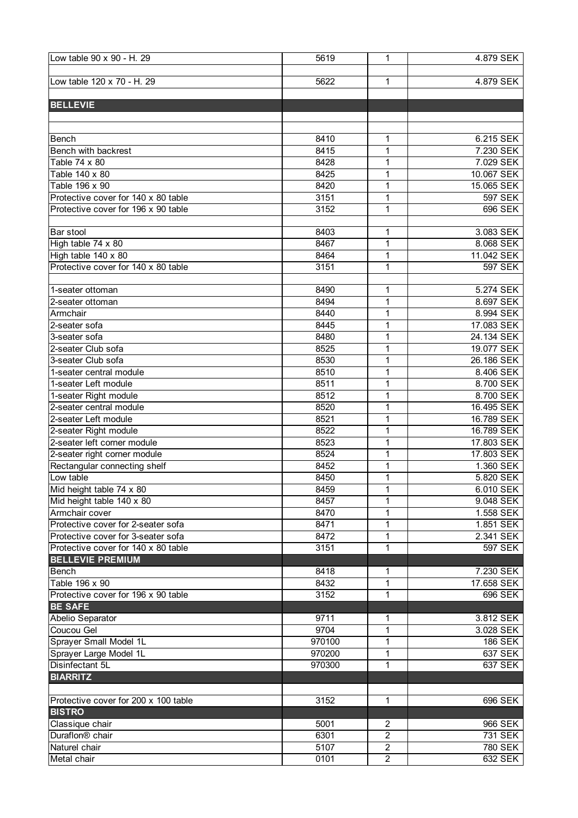| Low table 90 x 90 - H. 29            | 5619   | 1              | 4.879 SEK      |
|--------------------------------------|--------|----------------|----------------|
|                                      |        |                |                |
| Low table 120 x 70 - H. 29           | 5622   | 1              | 4.879 SEK      |
|                                      |        |                |                |
| <b>BELLEVIE</b>                      |        |                |                |
|                                      |        |                |                |
|                                      |        |                |                |
| Bench                                | 8410   | 1              | 6.215 SEK      |
| Bench with backrest                  | 8415   | 1              | 7.230 SEK      |
|                                      | 8428   |                |                |
| Table 74 x 80                        |        | 1              | 7.029 SEK      |
| Table 140 x 80                       | 8425   | 1              | 10.067 SEK     |
| Table 196 x 90                       | 8420   | 1              | 15.065 SEK     |
| Protective cover for 140 x 80 table  | 3151   | $\mathbf{1}$   | <b>597 SEK</b> |
| Protective cover for 196 x 90 table  | 3152   | 1              | 696 SEK        |
|                                      |        |                |                |
| <b>Bar stool</b>                     | 8403   | 1              | 3.083 SEK      |
| High table 74 x 80                   | 8467   | 1              | 8.068 SEK      |
| High table 140 x 80                  | 8464   | 1              | 11.042 SEK     |
| Protective cover for 140 x 80 table  | 3151   | 1              | 597 SEK        |
|                                      |        |                |                |
| 1-seater ottoman                     | 8490   | 1              | 5.274 SEK      |
| 2-seater ottoman                     | 8494   | 1              | 8.697 SEK      |
| Armchair                             | 8440   | 1              | 8.994 SEK      |
| 2-seater sofa                        | 8445   | 1              | 17.083 SEK     |
| 3-seater sofa                        | 8480   | 1              | 24.134 SEK     |
| 2-seater Club sofa                   | 8525   | 1              | 19.077 SEK     |
| 3-seater Club sofa                   | 8530   | 1              | 26.186 SEK     |
| 1-seater central module              | 8510   | 1              | 8.406 SEK      |
|                                      |        |                |                |
| 1-seater Left module                 | 8511   | 1              | 8.700 SEK      |
| 1-seater Right module                | 8512   | 1              | 8.700 SEK      |
| 2-seater central module              | 8520   | 1              | 16.495 SEK     |
| 2-seater Left module                 | 8521   | $\mathbf{1}$   | 16.789 SEK     |
| 2-seater Right module                | 8522   | $\mathbf{1}$   | 16.789 SEK     |
| 2-seater left corner module          | 8523   | $\mathbf{1}$   | 17.803 SEK     |
| 2-seater right corner module         | 8524   | 1              | 17.803 SEK     |
| Rectangular connecting shelf         | 8452   | 1              | 1.360 SEK      |
| Low table                            | 8450   | 1              | 5.820 SEK      |
| Mid height table 74 x 80             | 8459   | 1              | 6.010 SEK      |
| Mid height table 140 x 80            | 8457   | 1              | 9.048 SEK      |
| Armchair cover                       | 8470   | 1              | 1.558 SEK      |
| Protective cover for 2-seater sofa   | 8471   | 1              | 1.851 SEK      |
| Protective cover for 3-seater sofa   | 8472   | 1              | 2.341 SEK      |
| Protective cover for 140 x 80 table  | 3151   | 1              | 597 SEK        |
| <b>BELLEVIE PREMIUM</b>              |        |                |                |
| <b>Bench</b>                         | 8418   | 1              | 7.230 SEK      |
| Table 196 x 90                       | 8432   | $\mathbf{1}$   | 17.658 SEK     |
| Protective cover for 196 x 90 table  | 3152   | 1              | 696 SEK        |
| <b>BE SAFE</b>                       |        |                |                |
|                                      |        |                |                |
| Abelio Separator                     | 9711   | 1              | 3.812 SEK      |
| Coucou Gel                           | 9704   | 1              | 3.028 SEK      |
| Sprayer Small Model 1L               | 970100 | 1              | <b>186 SEK</b> |
| Sprayer Large Model 1L               | 970200 | 1              | 637 SEK        |
| Disinfectant 5L                      | 970300 | 1              | 637 SEK        |
| <b>BIARRITZ</b>                      |        |                |                |
|                                      |        |                |                |
| Protective cover for 200 x 100 table | 3152   | 1              | 696 SEK        |
| <b>BISTRO</b>                        |        |                |                |
| Classique chair                      | 5001   | $\overline{2}$ | 966 SEK        |
| Duraflon <sup>®</sup> chair          | 6301   | $\overline{2}$ | 731 SEK        |
| Naturel chair                        | 5107   | $\overline{2}$ | 780 SEK        |
| Metal chair                          | 0101   | $\overline{2}$ | 632 SEK        |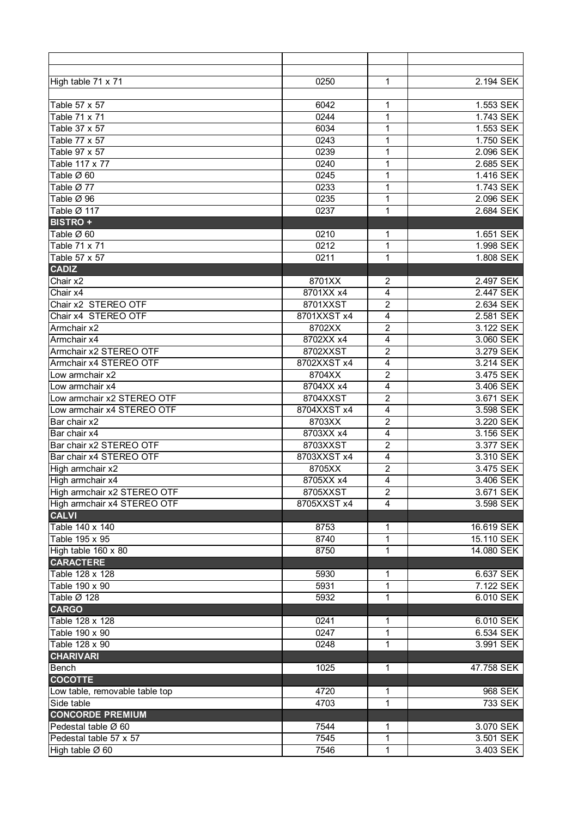| High table 71 x 71                      | 0250        | 1              | 2.194 SEK  |
|-----------------------------------------|-------------|----------------|------------|
|                                         |             |                |            |
| Table 57 x 57                           | 6042        | 1              | 1.553 SEK  |
| Table 71 x 71                           | 0244        | 1              | 1.743 SEK  |
| Table 37 x 57                           | 6034        | 1              | 1.553 SEK  |
| Table 77 x 57                           | 0243        | 1              | 1.750 SEK  |
| Table 97 x 57                           | 0239        | 1              | 2.096 SEK  |
| Table 117 x 77                          | 0240        | 1              | 2.685 SEK  |
| Table Ø 60                              |             |                | 1.416 SEK  |
|                                         | 0245        | 1              |            |
| Table Ø 77                              | 0233        | 1              | 1.743 SEK  |
| Table Ø 96                              | 0235        | 1              | 2.096 SEK  |
| Table Ø 117                             | 0237        | 1              | 2.684 SEK  |
| <b>BISTRO +</b>                         |             |                |            |
| Table Ø 60                              | 0210        | 1              | 1.651 SEK  |
| Table 71 x 71                           | 0212        | 1              | 1.998 SEK  |
| Table 57 x 57                           | 0211        | 1              | 1.808 SEK  |
| <b>CADIZ</b>                            |             |                |            |
| Chair x2                                | 8701XX      | 2              | 2.497 SEK  |
| Chair x4                                | 8701XX x4   | 4              | 2.447 SEK  |
| Chair x2 STEREO OTF                     | 8701XXST    | $\overline{c}$ | 2.634 SEK  |
| Chair x4 STEREO OTF                     | 8701XXST x4 | 4              | 2.581 SEK  |
| Armchair x2                             | 8702XX      | 2              | 3.122 SEK  |
| Armchair x4                             | 8702XX x4   | 4              | 3.060 SEK  |
| Armchair x2 STEREO OTF                  | 8702XXST    | $\overline{c}$ | 3.279 SEK  |
| Armchair x4 STEREO OTF                  | 8702XXST x4 | 4              | 3.214 SEK  |
| Low armchair x2                         | 8704XX      | $\overline{c}$ | 3.475 SEK  |
| Low armchair x4                         | 8704XX x4   | 4              | 3.406 SEK  |
| Low armchair x2 STEREO OTF              | 8704XXST    | $\overline{2}$ | 3.671 SEK  |
| Low armchair x4 STEREO OTF              | 8704XXST x4 | 4              | 3.598 SEK  |
| Bar chair x2                            | 8703XX      | $\overline{c}$ | 3.220 SEK  |
| Bar chair x4                            | 8703XX x4   | 4              | 3.156 SEK  |
| Bar chair x2 STEREO OTF                 | 8703XXST    | $\overline{c}$ | 3.377 SEK  |
| Bar chair x4 STEREO OTF                 | 8703XXST x4 | 4              | 3.310 SEK  |
| High armchair x2                        | 8705XX      | $\overline{c}$ | 3.475 SEK  |
| High armchair x4                        | 8705XX x4   | 4              | 3.406 SEK  |
| High armchair x2 STEREO OTF             | 8705XXST    | $\overline{2}$ | 3.671 SEK  |
| High armchair x4 STEREO OTF             | 8705XXST x4 | 4              | 3.598 SEK  |
| <b>CALVI</b>                            |             |                |            |
| Table 140 x 140                         | 8753        | 1              | 16.619 SEK |
| Table 195 x 95                          | 8740        | 1              | 15.110 SEK |
|                                         | 8750        | 1              | 14.080 SEK |
| High table 160 x 80<br><b>CARACTERE</b> |             |                |            |
|                                         |             |                |            |
| Table 128 x 128                         | 5930        | 1              | 6.637 SEK  |
| Table 190 x 90                          | 5931        | 1              | 7.122 SEK  |
| Table Ø 128                             | 5932        | 1              | 6.010 SEK  |
| <b>CARGO</b>                            |             |                |            |
| Table 128 x 128                         | 0241        | 1              | 6.010 SEK  |
| Table 190 x 90                          | 0247        | 1              | 6.534 SEK  |
| Table 128 x 90                          | 0248        | 1              | 3.991 SEK  |
| <b>CHARIVARI</b>                        |             |                |            |
| Bench                                   | 1025        | 1              | 47.758 SEK |
| <b>COCOTTE</b>                          |             |                |            |
| Low table, removable table top          | 4720        | 1              | 968 SEK    |
| Side table                              | 4703        | 1              | 733 SEK    |
| <b>CONCORDE PREMIUM</b>                 |             |                |            |
| Pedestal table Ø 60                     | 7544        | 1              | 3.070 SEK  |
| Pedestal table 57 x 57                  | 7545        | 1              | 3.501 SEK  |
| High table Ø 60                         | 7546        | 1              | 3.403 SEK  |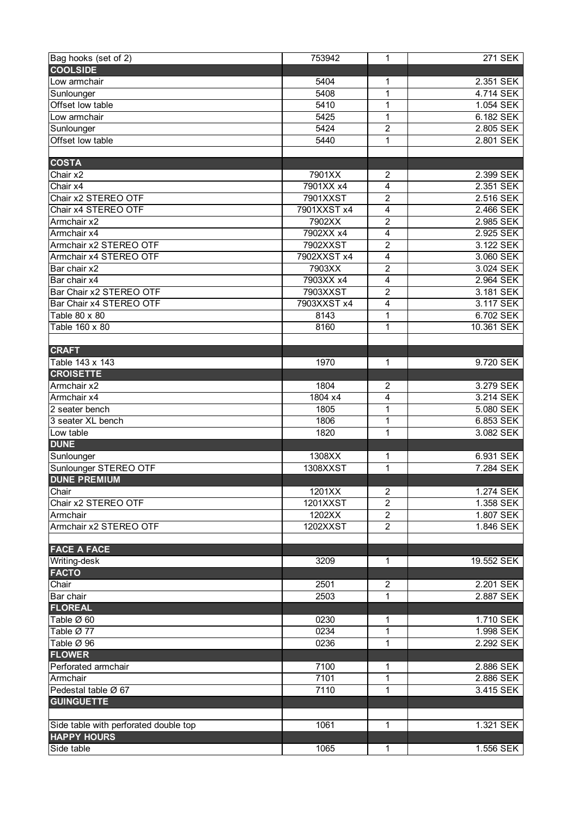| Bag hooks (set of 2)                  | 753942      | 1                | 271 SEK    |
|---------------------------------------|-------------|------------------|------------|
| <b>COOLSIDE</b>                       |             |                  |            |
| Low armchair                          | 5404        | 1                | 2.351 SEK  |
| Sunlounger                            | 5408        | 1                | 4.714 SEK  |
| Offset low table                      | 5410        | 1                | 1.054 SEK  |
| Low armchair                          | 5425        | 1                | 6.182 SEK  |
| Sunlounger                            | 5424        | $\overline{c}$   | 2.805 SEK  |
| Offset low table                      | 5440        | 1                | 2.801 SEK  |
|                                       |             |                  |            |
| <b>COSTA</b>                          |             |                  |            |
| Chair x2                              | 7901XX      | 2                | 2.399 SEK  |
| Chair $x4$                            | 7901XX x4   | 4                | 2.351 SEK  |
| Chair x2 STEREO OTF                   | 7901XXST    | $\overline{2}$   | 2.516 SEK  |
| Chair x4 STEREO OTF                   | 7901XXST x4 | 4                | 2.466 SEK  |
| Armchair x2                           | 7902XX      | $\overline{c}$   | 2.985 SEK  |
| Armchair x4                           | 7902XX x4   | 4                | 2.925 SEK  |
| Armchair x2 STEREO OTF                | 7902XXST    | $\boldsymbol{2}$ | 3.122 SEK  |
| Armchair x4 STEREO OTF                | 7902XXST x4 | 4                | 3.060 SEK  |
| Bar chair x2                          | 7903XX      | $\overline{2}$   | 3.024 SEK  |
| Bar chair x4                          | 7903XX x4   | 4                | 2.964 SEK  |
| Bar Chair x2 STEREO OTF               | 7903XXST    | $\overline{2}$   | 3.181 SEK  |
| Bar Chair x4 STEREO OTF               | 7903XXST x4 | 4                | 3.117 SEK  |
| Table 80 x 80                         | 8143        | 1                | 6.702 SEK  |
| Table 160 x 80                        | 8160        | 1                | 10.361 SEK |
|                                       |             |                  |            |
|                                       |             |                  |            |
| <b>CRAFT</b>                          |             |                  |            |
| Table 143 x 143                       | 1970        | 1                | 9.720 SEK  |
| <b>CROISETTE</b>                      |             |                  |            |
| Armchair x2                           | 1804        | 2                | 3.279 SEK  |
| Armchair x4                           | 1804 x4     | 4                | 3.214 SEK  |
| 2 seater bench                        | 1805        | 1                | 5.080 SEK  |
| 3 seater XL bench                     | 1806        | 1                | 6.853 SEK  |
| Low table                             | 1820        | 1                | 3.082 SEK  |
| <b>DUNE</b>                           |             |                  |            |
| Sunlounger                            | 1308XX      | 1                | 6.931 SEK  |
| Sunlounger STEREO OTF                 | 1308XXST    | 1                | 7.284 SEK  |
| <b>DUNE PREMIUM</b>                   |             |                  |            |
| Chair                                 | 1201XX      | 2                | 1.274 SEK  |
| Chair x2 STEREO OTF                   | 1201XXST    | $\overline{2}$   | 1.358 SEK  |
| Armchair                              | 1202XX      | $\overline{2}$   | 1.807 SEK  |
| Armchair x2 STEREO OTF                | 1202XXST    | $\overline{2}$   | 1.846 SEK  |
|                                       |             |                  |            |
| <b>FACE A FACE</b>                    |             |                  |            |
| Writing-desk                          | 3209        | 1                | 19.552 SEK |
| <b>FACTO</b>                          |             |                  |            |
| Chair                                 | 2501        | $\overline{c}$   | 2.201 SEK  |
| Bar chair                             | 2503        | 1                | 2.887 SEK  |
| <b>FLOREAL</b>                        |             |                  |            |
| Table Ø 60                            | 0230        | 1                | 1.710 SEK  |
| Table Ø 77                            | 0234        | 1                | 1.998 SEK  |
| Table Ø 96                            | 0236        | 1                | 2.292 SEK  |
| <b>FLOWER</b>                         |             |                  |            |
| Perforated armchair                   | 7100        | 1                | 2.886 SEK  |
| Armchair                              | 7101        | 1                | 2.886 SEK  |
| Pedestal table Ø 67                   | 7110        | 1                | 3.415 SEK  |
| <b>GUINGUETTE</b>                     |             |                  |            |
|                                       |             |                  |            |
| Side table with perforated double top | 1061        | $\mathbf{1}$     | 1.321 SEK  |
| <b>HAPPY HOURS</b>                    |             |                  |            |
| Side table                            | 1065        | 1                | 1.556 SEK  |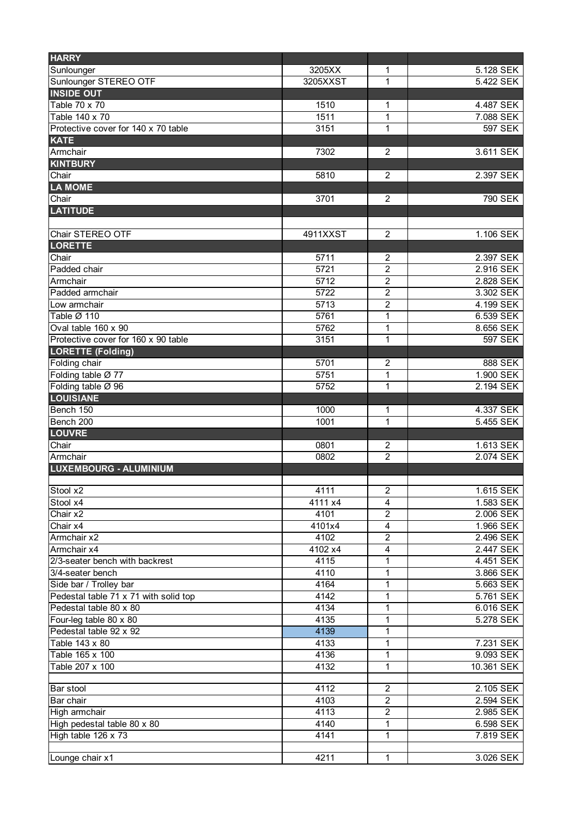| <b>HARRY</b>                          |          |                         |                |
|---------------------------------------|----------|-------------------------|----------------|
| Sunlounger                            | 3205XX   | 1                       | 5.128 SEK      |
| Sunlounger STEREO OTF                 | 3205XXST | 1                       | 5.422 SEK      |
| <b>INSIDE OUT</b>                     |          |                         |                |
| Table 70 x 70                         | 1510     | 1                       | 4.487 SEK      |
| Table 140 x 70                        | 1511     | 1                       | 7.088 SEK      |
| Protective cover for 140 x 70 table   | 3151     | 1                       | 597 SEK        |
| <b>KATE</b>                           |          |                         |                |
| Armchair                              | 7302     | 2                       | 3.611 SEK      |
| <b>KINTBURY</b>                       |          |                         |                |
| Chair                                 | 5810     | $\overline{c}$          | 2.397 SEK      |
| <b>LA MOME</b>                        |          |                         |                |
| Chair                                 | 3701     | $\overline{2}$          | 790 SEK        |
| <b>LATITUDE</b>                       |          |                         |                |
|                                       |          |                         |                |
| Chair STEREO OTF                      | 4911XXST | $\overline{2}$          | 1.106 SEK      |
| <b>LORETTE</b>                        |          |                         |                |
| Chair                                 | 5711     | $\overline{c}$          | 2.397 SEK      |
| Padded chair                          | 5721     | $\overline{2}$          | 2.916 SEK      |
| Armchair                              | 5712     | $\overline{2}$          | 2.828 SEK      |
| Padded armchair                       | 5722     | $\overline{c}$          | 3.302 SEK      |
| Low armchair                          | 5713     | $\overline{c}$          | 4.199 SEK      |
| Table Ø 110                           | 5761     | 1                       | 6.539 SEK      |
| Oval table 160 x 90                   | 5762     | 1                       | 8.656 SEK      |
| Protective cover for 160 x 90 table   | 3151     | 1                       | <b>597 SEK</b> |
| <b>LORETTE (Folding)</b>              |          |                         |                |
| Folding chair                         | 5701     | 2                       | 888 SEK        |
| Folding table Ø 77                    | 5751     | 1                       | 1.900 SEK      |
| Folding table Ø 96                    | 5752     | 1                       | 2.194 SEK      |
| <b>LOUISIANE</b>                      |          |                         |                |
| Bench 150                             | 1000     | 1                       | 4.337 SEK      |
| Bench 200                             | 1001     | 1                       | 5.455 SEK      |
| <b>LOUVRE</b>                         |          |                         |                |
| Chair                                 | 0801     | $\overline{c}$          | 1.613 SEK      |
| Armchair                              | 0802     | $\overline{2}$          | 2.074 SEK      |
| <b>LUXEMBOURG - ALUMINIUM</b>         |          |                         |                |
|                                       |          |                         |                |
| Stool x2                              | 4111     | $\overline{c}$          | 1.615 SEK      |
| Stool x4                              | 4111 x4  | 4                       | 1.583 SEK      |
| Chair x2                              | 4101     | $\overline{2}$          | 2.006 SEK      |
| Chair x4                              | 4101x4   | $\overline{\mathbf{4}}$ | 1.966 SEK      |
| Armchair x2                           | 4102     | $\overline{2}$          | 2.496 SEK      |
| Armchair x4                           | 4102 x4  | 4                       | 2.447 SEK      |
| 2/3-seater bench with backrest        | 4115     | 1                       | 4.451 SEK      |
| 3/4-seater bench                      | 4110     | 1                       | 3.866 SEK      |
| Side bar / Trolley bar                | 4164     | 1                       | 5.663 SEK      |
| Pedestal table 71 x 71 with solid top | 4142     | 1                       | 5.761 SEK      |
| Pedestal table 80 x 80                | 4134     | 1                       | 6.016 SEK      |
| Four-leg table 80 x 80                | 4135     | 1                       | 5.278 SEK      |
| Pedestal table 92 x 92                | 4139     | 1                       |                |
| Table 143 x 80                        | 4133     | 1                       | 7.231 SEK      |
| Table 165 x 100                       | 4136     | 1                       | 9.093 SEK      |
| Table 207 x 100                       | 4132     | 1                       | 10.361 SEK     |
|                                       |          |                         |                |
| Bar stool                             | 4112     | $\overline{c}$          | 2.105 SEK      |
| Bar chair                             | 4103     | $\overline{c}$          | 2.594 SEK      |
| High armchair                         | 4113     | $\overline{2}$          | 2.985 SEK      |
| High pedestal table 80 x 80           | 4140     | 1                       | 6.598 SEK      |
| High table 126 x 73                   | 4141     | $\mathbf{1}$            | 7.819 SEK      |
|                                       |          |                         |                |
| Lounge chair x1                       | 4211     | 1                       | 3.026 SEK      |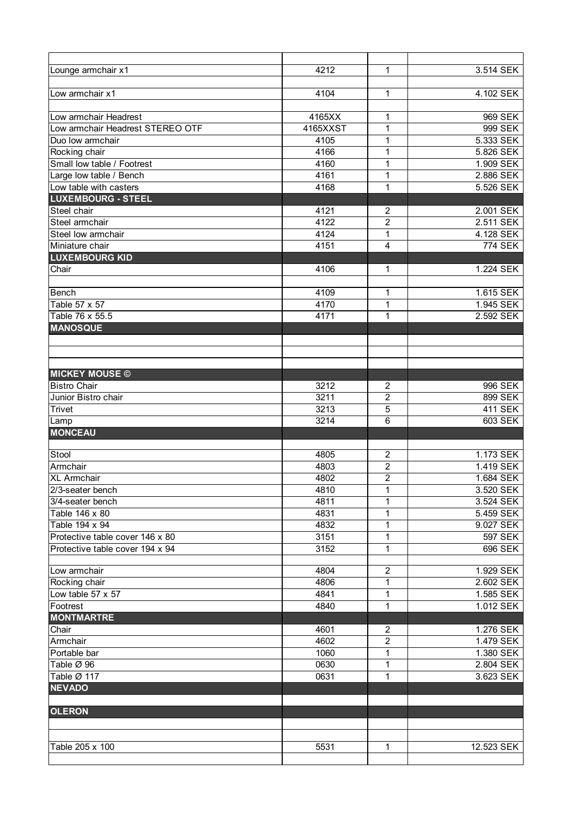| Lounge armchair x1               | 4212     | 1                | 3.514 SEK      |
|----------------------------------|----------|------------------|----------------|
|                                  |          |                  |                |
| Low armchair x1                  | 4104     | 1                | 4.102 SEK      |
|                                  |          |                  |                |
| Low armchair Headrest            | 4165XX   | 1                | 969 SEK        |
| Low armchair Headrest STEREO OTF | 4165XXST | 1                | 999 SEK        |
| Duo low armchair                 | 4105     | 1                | 5.333 SEK      |
| Rocking chair                    | 4166     | 1                | 5.826 SEK      |
| Small low table / Footrest       | 4160     | 1                | 1.909 SEK      |
| Large low table / Bench          | 4161     | 1                | 2.886 SEK      |
| Low table with casters           | 4168     | 1                | 5.526 SEK      |
| <b>LUXEMBOURG - STEEL</b>        |          |                  |                |
| Steel chair                      | 4121     | $\boldsymbol{2}$ | 2.001 SEK      |
| Steel armchair                   | 4122     | $\overline{2}$   | 2.511 SEK      |
|                                  |          |                  |                |
| Steel low armchair               | 4124     | 1                | 4.128 SEK      |
| Miniature chair                  | 4151     | 4                | <b>774 SEK</b> |
| <b>LUXEMBOURG KID</b>            |          |                  |                |
| Chair                            | 4106     | 1                | 1.224 SEK      |
|                                  |          |                  |                |
| Bench                            | 4109     | $\mathbf 1$      | 1.615 SEK      |
| Table 57 x 57                    | 4170     | 1                | 1.945 SEK      |
| Table 76 x 55.5                  | 4171     | 1                | 2.592 SEK      |
| <b>MANOSQUE</b>                  |          |                  |                |
|                                  |          |                  |                |
|                                  |          |                  |                |
|                                  |          |                  |                |
| <b>MICKEY MOUSE ©</b>            |          |                  |                |
| <b>Bistro Chair</b>              | 3212     | $\boldsymbol{2}$ | 996 SEK        |
| Junior Bistro chair              | 3211     | $\overline{c}$   | 899 SEK        |
| Trivet                           | 3213     | 5                | <b>411 SEK</b> |
| Lamp                             | 3214     | 6                | 603 SEK        |
| <b>MONCEAU</b>                   |          |                  |                |
|                                  |          |                  |                |
| Stool                            | 4805     | $\overline{c}$   | 1.173 SEK      |
| Armchair                         | 4803     | $\overline{c}$   | 1.419 SEK      |
| <b>XL</b> Armchair               | 4802     | $\overline{c}$   | 1.684 SEK      |
| 2/3-seater bench                 | 4810     | $\overline{1}$   | 3.520 SEK      |
| 3/4-seater bench                 | 4811     | 1                | 3.524 SEK      |
| Table 146 x 80                   | 4831     | 1                | 5.459 SEK      |
| Table 194 x 94                   | 4832     | 1                | 9.027 SEK      |
| Protective table cover 146 x 80  | 3151     | 1                | 597 SEK        |
| Protective table cover 194 x 94  | 3152     | 1                | 696 SEK        |
|                                  |          |                  |                |
| Low armchair                     | 4804     | $\overline{2}$   | 1.929 SEK      |
| Rocking chair                    | 4806     | 1                | 2.602 SEK      |
| Low table 57 x 57                | 4841     | 1                | 1.585 SEK      |
| Footrest                         | 4840     | 1                | 1.012 SEK      |
| <b>MONTMARTRE</b>                |          |                  |                |
|                                  | 4601     |                  |                |
| Chair                            |          | 2                | 1.276 SEK      |
| Armchair                         | 4602     | $\overline{2}$   | 1.479 SEK      |
| Portable bar                     | 1060     | 1                | 1.380 SEK      |
| Table Ø 96                       | 0630     | 1                | 2.804 SEK      |
| Table Ø 117                      | 0631     | 1                | 3.623 SEK      |
| <b>NEVADO</b>                    |          |                  |                |
|                                  |          |                  |                |
| <b>OLERON</b>                    |          |                  |                |
|                                  |          |                  |                |
|                                  |          |                  |                |
| Table 205 x 100                  | 5531     | 1                | 12.523 SEK     |
|                                  |          |                  |                |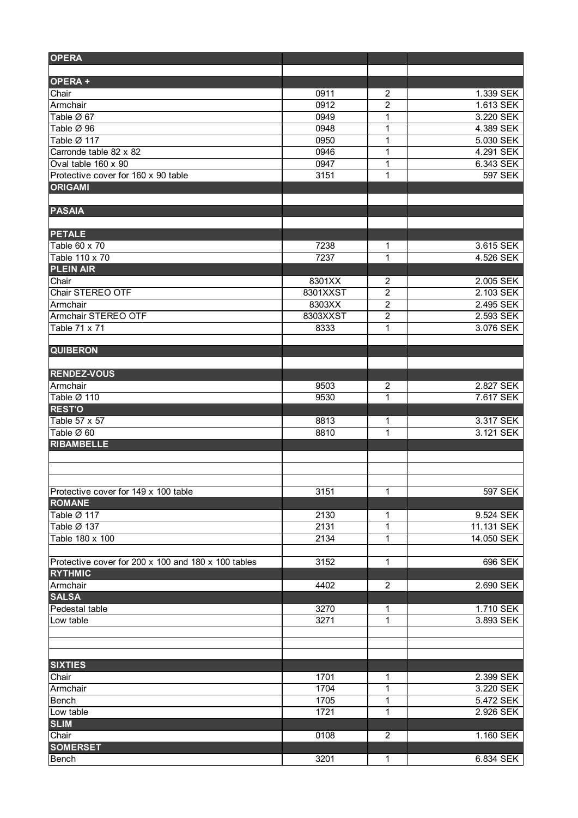| <b>OPERA</b>                                          |          |                |            |
|-------------------------------------------------------|----------|----------------|------------|
| OPERA+                                                |          |                |            |
| Chair                                                 | 0911     | $\overline{2}$ | 1.339 SEK  |
| Armchair                                              | 0912     | $\overline{2}$ | 1.613 SEK  |
| Table Ø 67                                            | 0949     | 1              | 3.220 SEK  |
| Table Ø 96                                            | 0948     | 1              | 4.389 SEK  |
| Table Ø 117                                           | 0950     | 1              | 5.030 SEK  |
| Carronde table 82 x 82                                | 0946     | 1              | 4.291 SEK  |
| Oval table 160 x 90                                   | 0947     | 1              | 6.343 SEK  |
| Protective cover for 160 x 90 table                   | 3151     | 1              | 597 SEK    |
| <b>ORIGAMI</b>                                        |          |                |            |
| <b>PASAIA</b>                                         |          |                |            |
|                                                       |          |                |            |
| <b>PETALE</b>                                         |          |                |            |
| Table 60 x 70                                         | 7238     | 1              | 3.615 SEK  |
| Table 110 x 70                                        | 7237     | 1              | 4.526 SEK  |
| <b>PLEIN AIR</b>                                      |          |                |            |
| Chair                                                 | 8301XX   | $\overline{2}$ | 2.005 SEK  |
| Chair STEREO OTF                                      | 8301XXST | $\overline{2}$ | 2.103 SEK  |
| Armchair                                              | 8303XX   | $\overline{2}$ | 2.495 SEK  |
| Armchair STEREO OTF                                   | 8303XXST | $\overline{2}$ | 2.593 SEK  |
| Table 71 x 71                                         | 8333     | 1              | 3.076 SEK  |
| <b>QUIBERON</b>                                       |          |                |            |
|                                                       |          |                |            |
| <b>RENDEZ-VOUS</b>                                    |          |                |            |
| Armchair                                              | 9503     | $\overline{2}$ | 2.827 SEK  |
| Table Ø 110                                           | 9530     | 1              | 7.617 SEK  |
| <b>REST'O</b>                                         |          |                |            |
| Table 57 x 57                                         | 8813     | 1              | 3.317 SEK  |
| Table Ø 60                                            | 8810     | 1              | 3.121 SEK  |
| <b>RIBAMBELLE</b>                                     |          |                |            |
|                                                       |          |                |            |
|                                                       |          |                |            |
| Protective cover for 149 x 100 table<br><b>ROMANE</b> | 3151     | 1              | 597 SEK    |
|                                                       |          |                |            |
| Table Ø 117<br>Table Ø 137                            | 2130     | 1              | 9.524 SEK  |
|                                                       | 2131     | 1              | 11.131 SEK |
| Table 180 x 100                                       | 2134     | 1              | 14.050 SEK |
| Protective cover for 200 x 100 and 180 x 100 tables   | 3152     | $\mathbf{1}$   | 696 SEK    |
| <b>RYTHMIC</b>                                        |          |                |            |
| Armchair                                              | 4402     | $\overline{c}$ | 2.690 SEK  |
| <b>SALSA</b>                                          |          |                |            |
| Pedestal table                                        | 3270     | 1              | 1.710 SEK  |
| Low table                                             | 3271     | 1              | 3.893 SEK  |
|                                                       |          |                |            |
|                                                       |          |                |            |
| <b>SIXTIES</b>                                        |          |                |            |
| Chair                                                 | 1701     | 1              | 2.399 SEK  |
| Armchair                                              | 1704     | 1              | 3.220 SEK  |
| Bench                                                 | 1705     | 1              | 5.472 SEK  |
| Low table                                             | 1721     | 1              | 2.926 SEK  |
| <b>SLIM</b>                                           |          |                |            |
| Chair                                                 | 0108     | $\overline{2}$ | 1.160 SEK  |
| <b>SOMERSET</b>                                       |          |                |            |
| Bench                                                 | 3201     | 1              | 6.834 SEK  |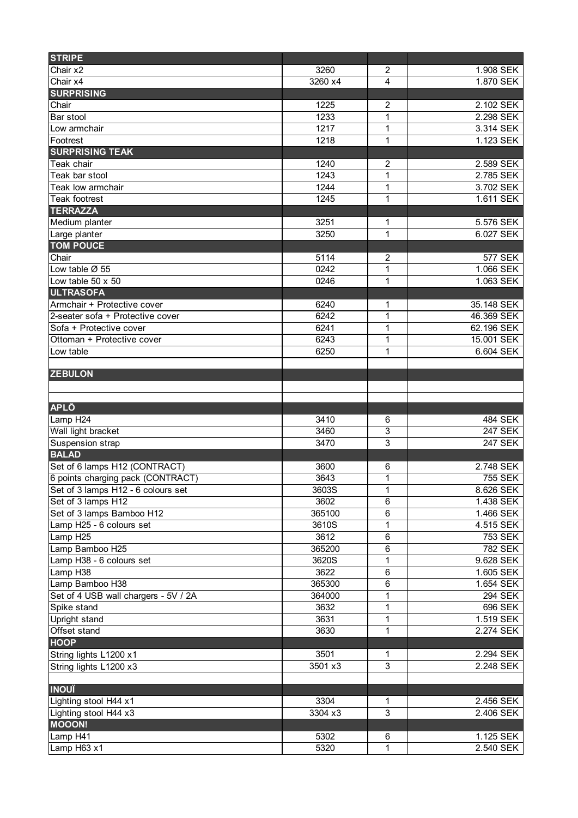| <b>STRIPE</b>                        |         |                |            |
|--------------------------------------|---------|----------------|------------|
| Chair x2                             | 3260    | $\overline{c}$ | 1.908 SEK  |
| Chair x4                             | 3260 x4 | 4              | 1.870 SEK  |
| <b>SURPRISING</b>                    |         |                |            |
| Chair                                | 1225    | $\overline{c}$ | 2.102 SEK  |
| Bar stool                            | 1233    | 1              | 2.298 SEK  |
| Low armchair                         | 1217    | 1              | 3.314 SEK  |
| Footrest                             | 1218    | 1              | 1.123 SEK  |
| <b>SURPRISING TEAK</b>               |         |                |            |
| Teak chair                           | 1240    | $\overline{c}$ | 2.589 SEK  |
| Teak bar stool                       | 1243    | 1              | 2.785 SEK  |
| Teak low armchair                    | 1244    | 1              | 3.702 SEK  |
| Teak footrest                        | 1245    | 1              | 1.611 SEK  |
| <b>TERRAZZA</b>                      |         |                |            |
| Medium planter                       | 3251    | 1              | 5.576 SEK  |
| Large planter                        | 3250    | 1              | 6.027 SEK  |
| <b>TOM POUCE</b>                     |         |                |            |
| Chair                                | 5114    | 2              | 577 SEK    |
| Low table Ø 55                       | 0242    | 1              | 1.066 SEK  |
| Low table 50 x 50                    | 0246    | 1              | 1.063 SEK  |
| <b>ULTRASOFA</b>                     |         |                |            |
| Armchair + Protective cover          | 6240    | 1              | 35.148 SEK |
| 2-seater sofa + Protective cover     | 6242    | 1              | 46.369 SEK |
| Sofa + Protective cover              | 6241    | 1              | 62.196 SEK |
| Ottoman + Protective cover           | 6243    | 1              | 15.001 SEK |
| Low table                            | 6250    | 1              | 6.604 SEK  |
|                                      |         |                |            |
| <b>ZEBULON</b>                       |         |                |            |
|                                      |         |                |            |
|                                      |         |                |            |
| <b>APLÔ</b>                          |         |                |            |
| Lamp H24                             | 3410    | 6              | 484 SEK    |
| Wall light bracket                   | 3460    | $\overline{3}$ | 247 SEK    |
| Suspension strap                     | 3470    | $\overline{3}$ | 247 SEK    |
| <b>BALAD</b>                         |         |                |            |
| Set of 6 lamps H12 (CONTRACT)        | 3600    | 6              | 2.748 SEK  |
| 6 points charging pack (CONTRACT)    | 3643    | 1              | 755 SEK    |
| Set of 3 lamps H12 - 6 colours set   | 3603S   | 1              | 8.626 SEK  |
| Set of 3 lamps H12                   | 3602    | 6              | 1.438 SEK  |
| Set of 3 lamps Bamboo H12            | 365100  | 6              | 1.466 SEK  |
| Lamp H25 - 6 colours set             | 3610S   | 1              | 4.515 SEK  |
| Lamp H25                             | 3612    | 6              | 753 SEK    |
| Lamp Bamboo H25                      | 365200  | 6              | 782 SEK    |
| Lamp H38 - 6 colours set             | 3620S   | 1              | 9.628 SEK  |
| Lamp H38                             | 3622    | 6              | 1.605 SEK  |
| Lamp Bamboo H38                      | 365300  | 6              | 1.654 SEK  |
| Set of 4 USB wall chargers - 5V / 2A | 364000  | 1              | 294 SEK    |
| Spike stand                          | 3632    | 1              | 696 SEK    |
| Upright stand                        | 3631    | 1              | 1.519 SEK  |
| Offset stand                         | 3630    | 1              | 2.274 SEK  |
| <b>HOOP</b>                          |         |                |            |
| String lights L1200 x1               | 3501    | 1              | 2.294 SEK  |
| String lights L1200 x3               | 3501 x3 | 3              | 2.248 SEK  |
|                                      |         |                |            |
| <b>INOUÏ</b>                         |         |                |            |
| Lighting stool H44 x1                | 3304    | 1              | 2.456 SEK  |
| Lighting stool H44 x3                | 3304 x3 | 3              | 2.406 SEK  |
| <b>MOOON!</b>                        |         |                |            |
| Lamp H41                             | 5302    |                | 1.125 SEK  |
| Lamp H63 x1                          | 5320    | 6<br>1         | 2.540 SEK  |
|                                      |         |                |            |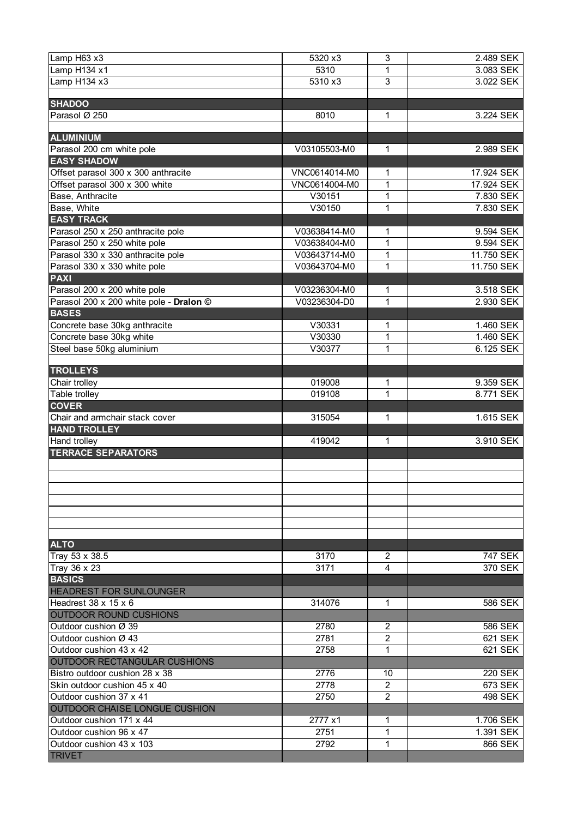| Lamp $H63 x3$                             | 5320 x3       | 3              | 2.489 SEK      |
|-------------------------------------------|---------------|----------------|----------------|
| Lamp H134 x1                              | 5310          | $\mathbf 1$    | 3.083 SEK      |
| Lamp $H134 \times 3$                      | 5310 x3       | $\overline{3}$ | 3.022 SEK      |
|                                           |               |                |                |
| <b>SHADOO</b>                             |               |                |                |
| Parasol Ø 250                             | 8010          | 1              | 3.224 SEK      |
|                                           |               |                |                |
| <b>ALUMINIUM</b>                          |               |                |                |
| Parasol 200 cm white pole                 | V03105503-M0  | 1              | 2.989 SEK      |
| <b>EASY SHADOW</b>                        |               |                |                |
| Offset parasol 300 x 300 anthracite       | VNC0614014-M0 | 1              | 17.924 SEK     |
| Offset parasol 300 x 300 white            | VNC0614004-M0 | $\overline{1}$ | 17.924 SEK     |
| Base, Anthracite                          | V30151        | 1              | 7.830 SEK      |
| Base, White                               | V30150        | 1              | 7.830 SEK      |
| <b>EASY TRACK</b>                         |               |                |                |
| Parasol 250 x 250 anthracite pole         | V03638414-M0  | 1              | 9.594 SEK      |
| Parasol 250 x 250 white pole              | V03638404-M0  | 1              | 9.594 SEK      |
| Parasol 330 x 330 anthracite pole         | V03643714-M0  | 1              | 11.750 SEK     |
| Parasol 330 x 330 white pole              | V03643704-M0  | 1              | 11.750 SEK     |
| <b>PAXI</b>                               |               |                |                |
| Parasol 200 x 200 white pole              | V03236304-M0  | 1              | 3.518 SEK      |
| Parasol 200 x 200 white pole - Dralon @   | V03236304-D0  | 1              | 2.930 SEK      |
| <b>BASES</b>                              |               |                |                |
| Concrete base 30kg anthracite             | V30331        | 1              | 1.460 SEK      |
| Concrete base 30kg white                  | V30330        | 1              | 1.460 SEK      |
| Steel base 50kg aluminium                 | V30377        | 1              | 6.125 SEK      |
| <b>TROLLEYS</b>                           |               |                |                |
| Chair trolley                             | 019008        | 1              | 9.359 SEK      |
| Table trolley                             | 019108        | 1              | 8.771 SEK      |
| <b>COVER</b>                              |               |                |                |
|                                           |               |                |                |
|                                           |               |                |                |
| Chair and armchair stack cover            | 315054        | 1              | 1.615 SEK      |
| <b>HAND TROLLEY</b>                       |               |                |                |
| <b>Hand trolley</b>                       | 419042        | 1              | 3.910 SEK      |
| <b>TERRACE SEPARATORS</b>                 |               |                |                |
|                                           |               |                |                |
|                                           |               |                |                |
|                                           |               |                |                |
|                                           |               |                |                |
|                                           |               |                |                |
|                                           |               |                |                |
| <b>ALTO</b>                               |               |                |                |
| Tray 53 x 38.5                            | 3170          | 2              | 747 SEK        |
| Tray 36 x 23                              | 3171          | 4              | 370 SEK        |
| <b>BASICS</b>                             |               |                |                |
| <b>HEADREST FOR SUNLOUNGER</b>            |               |                |                |
| Headrest 38 x 15 x 6                      | 314076        | 1              | 586 SEK        |
| OUTDOOR ROUND CUSHIONS                    |               |                |                |
| Outdoor cushion Ø 39                      | 2780          | $\overline{2}$ | 586 SEK        |
| Outdoor cushion Ø 43                      | 2781          | $\overline{2}$ | 621 SEK        |
| Outdoor cushion 43 x 42                   | 2758          | 1              | 621 SEK        |
| OUTDOOR RECTANGULAR CUSHIONS              |               |                |                |
| Bistro outdoor cushion 28 x 38            | 2776          | 10             | <b>220 SEK</b> |
| Skin outdoor cushion 45 x 40              | 2778          | 2              | 673 SEK        |
| Outdoor cushion 37 x 41                   | 2750          | $\overline{2}$ | 498 SEK        |
| OUTDOOR CHAISE LONGUE CUSHION             |               |                |                |
| Outdoor cushion 171 x 44                  | 2777 x1       | 1              | 1.706 SEK      |
| Outdoor cushion 96 x 47                   | 2751          | 1              | 1.391 SEK      |
| Outdoor cushion 43 x 103<br><b>TRIVET</b> | 2792          | 1              | 866 SEK        |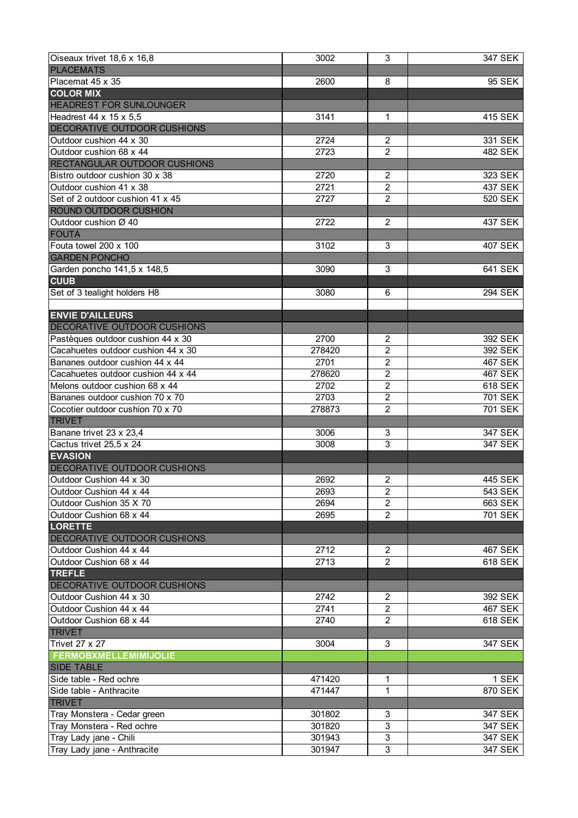| Oiseaux trivet 18,6 x 16,8               | 3002   | $\overline{3}$   | 347 SEK        |
|------------------------------------------|--------|------------------|----------------|
| <b>PLACEMATS</b>                         |        |                  |                |
| Placemat 45 x 35                         | 2600   | 8                | 95 SEK         |
| <b>COLOR MIX</b>                         |        |                  |                |
| <b>HEADREST FOR SUNLOUNGER</b>           |        |                  |                |
| Headrest 44 x 15 x 5,5                   | 3141   | $\mathbf 1$      | 415 SEK        |
| DECORATIVE OUTDOOR CUSHIONS              |        |                  |                |
| Outdoor cushion 44 x 30                  | 2724   | $\overline{2}$   | 331 SEK        |
| Outdoor cushion 68 x 44                  | 2723   | $\overline{2}$   | <b>482 SEK</b> |
| <b>RECTANGULAR OUTDOOR CUSHIONS</b>      |        |                  |                |
| Bistro outdoor cushion 30 x 38           | 2720   | $\overline{2}$   | 323 SEK        |
| Outdoor cushion 41 x 38                  | 2721   | $\overline{2}$   | 437 SEK        |
| Set of 2 outdoor cushion 41 x 45         | 2727   | $\overline{2}$   | 520 SEK        |
| <b>ROUND OUTDOOR CUSHION</b>             |        |                  |                |
| Outdoor cushion Ø 40                     | 2722   | $\overline{2}$   | 437 SEK        |
|                                          |        |                  |                |
| <b>FOUTA</b>                             |        |                  |                |
| Fouta towel 200 x 100                    | 3102   | 3                | 407 SEK        |
| <b>GARDEN PONCHO</b>                     |        |                  |                |
| Garden poncho 141,5 x 148,5              | 3090   | 3                | 641 SEK        |
| <b>CUUB</b>                              |        |                  |                |
| Set of 3 tealight holders H8             | 3080   | 6                | 294 SEK        |
|                                          |        |                  |                |
| <b>ENVIE D'AILLEURS</b>                  |        |                  |                |
| <b>DECORATIVE OUTDOOR CUSHIONS</b>       |        |                  |                |
| Pastèques outdoor cushion 44 x 30        | 2700   | $\overline{2}$   | 392 SEK        |
| Cacahuetes outdoor cushion 44 x 30       | 278420 | $\boldsymbol{2}$ | 392 SEK        |
| Bananes outdoor cushion 44 x 44          | 2701   | $\boldsymbol{2}$ | 467 SEK        |
| Cacahuetes outdoor cushion 44 x 44       | 278620 | $\boldsymbol{2}$ | 467 SEK        |
| Melons outdoor cushion 68 x 44           | 2702   | $\overline{2}$   | <b>618 SEK</b> |
| Bananes outdoor cushion 70 x 70          | 2703   | $\overline{2}$   | 701 SEK        |
| Cocotier outdoor cushion 70 x 70         | 278873 | $\overline{2}$   | <b>701 SEK</b> |
| <b>TRIVET</b>                            |        |                  |                |
| Banane trivet 23 x 23,4                  | 3006   | 3                | 347 SEK        |
| Cactus trivet 25,5 x 24                  | 3008   | $\overline{3}$   | 347 SEK        |
| <b>EVASION</b>                           |        |                  |                |
| <b>DECORATIVE OUTDOOR CUSHIONS</b>       |        |                  |                |
| Outdoor Cushion 44 x 30                  | 2692   | $\overline{2}$   | 445 SEK        |
| Outdoor Cushion 44 x 44                  | 2693   | $\overline{2}$   | 543 SEK        |
| Outdoor Cushion 35 X 70                  | 2694   | $\overline{2}$   | 663 SEK        |
| Outdoor Cushion 68 x 44                  | 2695   | $\mathfrak{p}$   | 701 SEK        |
| <b>LORETTE</b>                           |        |                  |                |
| DECORATIVE OUTDOOR CUSHIONS              |        |                  |                |
| Outdoor Cushion 44 x 44                  | 2712   | $\overline{2}$   | 467 SEK        |
| Outdoor Cushion 68 x 44                  | 2713   | $\mathfrak{p}$   | 618 SEK        |
| <b>TREFLE</b>                            |        |                  |                |
| DECORATIVE OUTDOOR CUSHIONS              |        |                  |                |
| Outdoor Cushion 44 x 30                  | 2742   | $\overline{2}$   | 392 SEK        |
| Outdoor Cushion 44 x 44                  | 2741   | $\overline{2}$   | 467 SEK        |
| Outdoor Cushion 68 x 44                  | 2740   | $\overline{2}$   | 618 SEK        |
| <b>TRIVET</b>                            |        |                  |                |
| <b>Trivet 27 x 27</b>                    | 3004   | 3                | 347 SEK        |
| <b>FERMOBXMELLEMIMIJOLIE</b>             |        |                  |                |
| <b>SIDE TABLE</b>                        |        |                  |                |
| Side table - Red ochre                   | 471420 | 1                | 1 SEK          |
|                                          |        | 1                | 870 SEK        |
| Side table - Anthracite<br><b>TRIVET</b> | 471447 |                  |                |
|                                          |        |                  |                |
| Tray Monstera - Cedar green              | 301802 | 3                | 347 SEK        |
| Tray Monstera - Red ochre                | 301820 | $\overline{3}$   | 347 SEK        |
| Tray Lady jane - Chili                   | 301943 | $\overline{3}$   | 347 SEK        |
| Tray Lady jane - Anthracite              | 301947 | 3                | 347 SEK        |